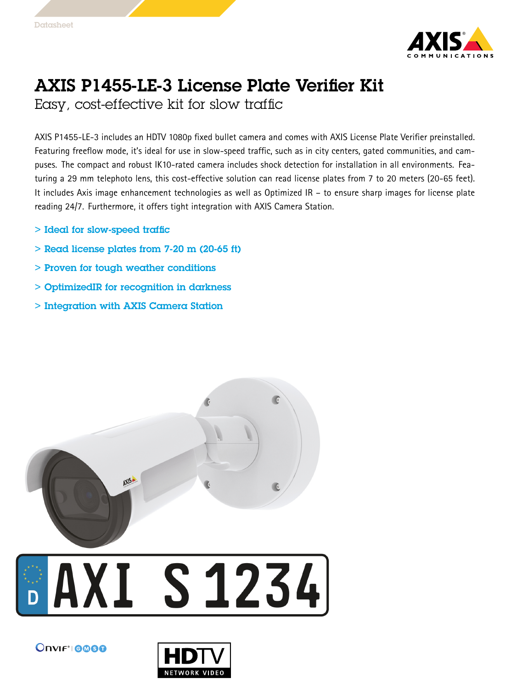

## AXIS P1455-LE-3 License Plate Verifier Kit

Easy, cost-effective kit for slow traffic

AXIS P1455-LE-3 includes an HDTV 1080p fixed bullet camera and comes with AXIS License Plate Verifier preinstalled. Featuring freeflow mode, it's ideal for use in slow-speed traffic, such as in city centers, gated communities, and campuses. The compact and robust IK10-rated camera includes shock detection for installation in all environments. Featuring <sup>a</sup> <sup>29</sup> mm telephoto lens, this cost-effective solution can read license plates from <sup>7</sup> to <sup>20</sup> meters (20-65 feet). It includes Axis image enhancement technologies as well as Optimized IR – to ensure sharp images for license plate reading 24/7. Furthermore, it offers tight integration with AXIS Camera Station.

- > Ideal for slow-speed traffic
- $>$  Read license plates from 7-20 m (20-65 ft)
- > Proven for tough weather conditions
- > OptimizedIR for recognition in darkness
- > Integration with AXIS Camera Station



## **AXI S1234**



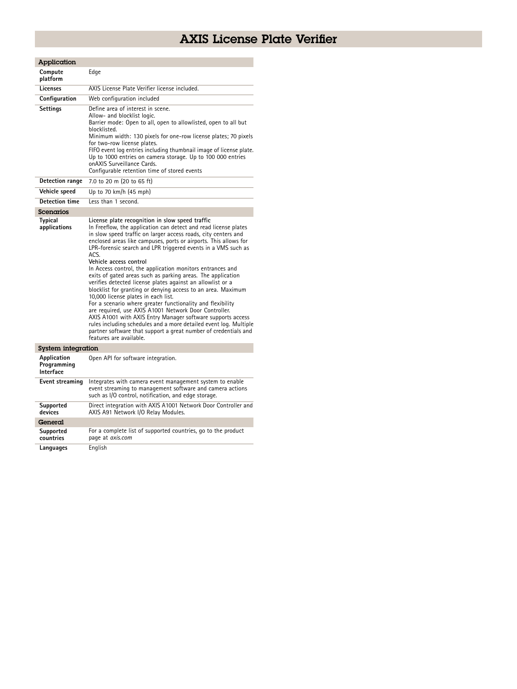## AXIS License Plate Verifier

| Application                             |                                                                                                                                                                                                                                                                                                                                                                                                                                                                                                                                                                                                                                                                                                                                                                                                                                                                                                                                                                                                                       |
|-----------------------------------------|-----------------------------------------------------------------------------------------------------------------------------------------------------------------------------------------------------------------------------------------------------------------------------------------------------------------------------------------------------------------------------------------------------------------------------------------------------------------------------------------------------------------------------------------------------------------------------------------------------------------------------------------------------------------------------------------------------------------------------------------------------------------------------------------------------------------------------------------------------------------------------------------------------------------------------------------------------------------------------------------------------------------------|
| Compute<br>platform                     | Edge                                                                                                                                                                                                                                                                                                                                                                                                                                                                                                                                                                                                                                                                                                                                                                                                                                                                                                                                                                                                                  |
| Licenses                                | AXIS License Plate Verifier license included.                                                                                                                                                                                                                                                                                                                                                                                                                                                                                                                                                                                                                                                                                                                                                                                                                                                                                                                                                                         |
| Configuration                           | Web configuration included                                                                                                                                                                                                                                                                                                                                                                                                                                                                                                                                                                                                                                                                                                                                                                                                                                                                                                                                                                                            |
| <b>Settings</b>                         | Define area of interest in scene.<br>Allow- and blocklist logic.<br>Barrier mode: Open to all, open to allowlisted, open to all but<br>blocklisted.<br>Minimum width: 130 pixels for one-row license plates; 70 pixels<br>for two-row license plates.<br>FIFO event log entries including thumbnail image of license plate.<br>Up to 1000 entries on camera storage. Up to 100 000 entries<br>onAXIS Surveillance Cards.<br>Configurable retention time of stored events                                                                                                                                                                                                                                                                                                                                                                                                                                                                                                                                              |
| <b>Detection range</b>                  | 7.0 to 20 m (20 to 65 ft)                                                                                                                                                                                                                                                                                                                                                                                                                                                                                                                                                                                                                                                                                                                                                                                                                                                                                                                                                                                             |
| Vehicle speed                           | Up to 70 km/h (45 mph)                                                                                                                                                                                                                                                                                                                                                                                                                                                                                                                                                                                                                                                                                                                                                                                                                                                                                                                                                                                                |
| <b>Detection time</b>                   | Less than 1 second.                                                                                                                                                                                                                                                                                                                                                                                                                                                                                                                                                                                                                                                                                                                                                                                                                                                                                                                                                                                                   |
| Scenarios                               |                                                                                                                                                                                                                                                                                                                                                                                                                                                                                                                                                                                                                                                                                                                                                                                                                                                                                                                                                                                                                       |
| Typical<br>applications                 | License plate recognition in slow speed traffic<br>In Freeflow, the application can detect and read license plates<br>in slow speed traffic on larger access roads, city centers and<br>enclosed areas like campuses, ports or airports. This allows for<br>LPR-forensic search and LPR triggered events in a VMS such as<br>ACS.<br>Vehicle access control<br>In Access control, the application monitors entrances and<br>exits of gated areas such as parking areas. The application<br>verifies detected license plates against an allowlist or a<br>blocklist for granting or denying access to an area. Maximum<br>10,000 license plates in each list.<br>For a scenario where greater functionality and flexibility<br>are required, use AXIS A1001 Network Door Controller.<br>AXIS A1001 with AXIS Entry Manager software supports access<br>rules including schedules and a more detailed event log. Multiple<br>partner software that support a great number of credentials and<br>features are available. |
| System integration                      |                                                                                                                                                                                                                                                                                                                                                                                                                                                                                                                                                                                                                                                                                                                                                                                                                                                                                                                                                                                                                       |
| Application<br>Programming<br>Interface | Open API for software integration.                                                                                                                                                                                                                                                                                                                                                                                                                                                                                                                                                                                                                                                                                                                                                                                                                                                                                                                                                                                    |
| Event streaming                         | Integrates with camera event management system to enable<br>event streaming to management software and camera actions<br>such as I/O control, notification, and edge storage.                                                                                                                                                                                                                                                                                                                                                                                                                                                                                                                                                                                                                                                                                                                                                                                                                                         |
| Supported<br>devices                    | Direct integration with AXIS A1001 Network Door Controller and<br>AXIS A91 Network I/O Relay Modules.                                                                                                                                                                                                                                                                                                                                                                                                                                                                                                                                                                                                                                                                                                                                                                                                                                                                                                                 |
| General                                 |                                                                                                                                                                                                                                                                                                                                                                                                                                                                                                                                                                                                                                                                                                                                                                                                                                                                                                                                                                                                                       |
| Supported<br>countries                  | For a complete list of supported countries, go to the product<br>page at axis.com                                                                                                                                                                                                                                                                                                                                                                                                                                                                                                                                                                                                                                                                                                                                                                                                                                                                                                                                     |
| Languages                               | English                                                                                                                                                                                                                                                                                                                                                                                                                                                                                                                                                                                                                                                                                                                                                                                                                                                                                                                                                                                                               |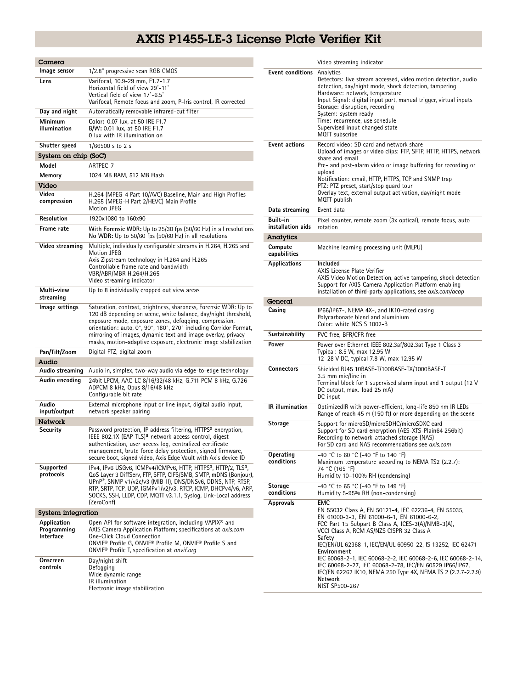## AXIS P1455-LE-3 License Plate Verifier Kit

| Camera                                  |                                                                                                                                                                                                                                                                                                                                                                                                      |
|-----------------------------------------|------------------------------------------------------------------------------------------------------------------------------------------------------------------------------------------------------------------------------------------------------------------------------------------------------------------------------------------------------------------------------------------------------|
| Image sensor                            | 1/2.8" progressive scan RGB CMOS                                                                                                                                                                                                                                                                                                                                                                     |
| Lens                                    | Varifocal, 10.9-29 mm, F1.7-1.7<br>Horizontal field of view 29°-11°<br>Vertical field of view 17°-6.5°<br>Varifocal, Remote focus and zoom, P-Iris control, IR corrected                                                                                                                                                                                                                             |
| Day and night                           | Automatically removable infrared-cut filter                                                                                                                                                                                                                                                                                                                                                          |
| Minimum<br>illumination                 | Color: 0.07 lux, at 50 IRE F1.7<br>B/W: 0.01 lux, at 50 IRE F1.7<br>0 lux with IR illumination on                                                                                                                                                                                                                                                                                                    |
| Shutter speed                           | 1/66500 s to 2 s                                                                                                                                                                                                                                                                                                                                                                                     |
| System on chip (SoC)                    |                                                                                                                                                                                                                                                                                                                                                                                                      |
| Model                                   | ARTPEC-7                                                                                                                                                                                                                                                                                                                                                                                             |
| Memory                                  | 1024 MB RAM, 512 MB Flash                                                                                                                                                                                                                                                                                                                                                                            |
| Video                                   |                                                                                                                                                                                                                                                                                                                                                                                                      |
| Video<br>compression                    | H.264 (MPEG-4 Part 10/AVC) Baseline, Main and High Profiles<br>H.265 (MPEG-H Part 2/HEVC) Main Profile<br><b>Motion JPEG</b>                                                                                                                                                                                                                                                                         |
| Resolution                              | 1920x1080 to 160x90                                                                                                                                                                                                                                                                                                                                                                                  |
| Frame rate                              | With Forensic WDR: Up to 25/30 fps (50/60 Hz) in all resolutions<br>No WDR: Up to 50/60 fps (50/60 Hz) in all resolutions                                                                                                                                                                                                                                                                            |
| Video streaming                         | Multiple, individually configurable streams in H.264, H.265 and<br>Motion JPEG<br>Axis Zipstream technology in H.264 and H.265<br>Controllable frame rate and bandwidth<br>VBR/ABR/MBR H.264/H.265<br>Video streaming indicator                                                                                                                                                                      |
| Multi-view<br>streaming                 | Up to 8 individually cropped out view areas                                                                                                                                                                                                                                                                                                                                                          |
| lmage settings                          | Saturation, contrast, brightness, sharpness, Forensic WDR: Up to<br>120 dB depending on scene, white balance, day/night threshold,<br>exposure mode, exposure zones, defogging, compression,<br>orientation: auto, 0°, 90°, 180°, 270° including Corridor Format,<br>mirroring of images, dynamic text and image overlay, privacy<br>masks, motion-adaptive exposure, electronic image stabilization |
| Pan/Tilt/Zoom                           | Digital PTZ, digital zoom                                                                                                                                                                                                                                                                                                                                                                            |
| Audio                                   |                                                                                                                                                                                                                                                                                                                                                                                                      |
| Audio streaming                         | Audio in, simplex, two-way audio via edge-to-edge technology                                                                                                                                                                                                                                                                                                                                         |
| Audio encoding                          | 24bit LPCM, AAC-LC 8/16/32/48 kHz, G.711 PCM 8 kHz, G.726<br>ADPCM 8 kHz, Opus 8/16/48 kHz<br>Configurable bit rate                                                                                                                                                                                                                                                                                  |
| Audio<br>input/output                   | External microphone input or line input, digital audio input,<br>network speaker pairing                                                                                                                                                                                                                                                                                                             |
| Network                                 |                                                                                                                                                                                                                                                                                                                                                                                                      |
| Security                                | Password protection, IP address filtering, HTTPS <sup>a</sup> encryption,<br>IEEE 802.1X (EAP-TLS) <sup>a</sup> network access control, digest<br>authentication, user access log, centralized certificate<br>management, brute force delay protection, signed firmware,<br>secure boot, signed video, Axis Edge Vault with Axis device ID                                                           |
| Supported<br>protocols                  | IPv4, IPv6 USGv6, ICMPv4/ICMPv6, HTTP, HTTPS <sup>a</sup> , HTTP/2, TLS <sup>a</sup> ,<br>QoS Layer 3 DiffServ, FTP, SFTP, CIFS/SMB, SMTP, mDNS (Bonjour),<br>UPnP®, SNMP v1/v2c/v3 (MIB-II), DNS/DNSv6, DDNS, NTP, RTSP,<br>RTP, SRTP, TCP, UDP, IGMPv1/v2/v3, RTCP, ICMP, DHCPv4/v6, ARP,<br>SOCKS, SSH, LLDP, CDP, MQTT v3.1.1, Syslog, Link-Local address<br>(ZeroConf)                          |
| System integration                      |                                                                                                                                                                                                                                                                                                                                                                                                      |
| Application<br>Programming<br>Interface | Open API for software integration, including VAPIX <sup>®</sup> and<br>AXIS Camera Application Platform; specifications at axis.com<br>One-Click Cloud Connection<br>ONVIF® Profile G, ONVIF® Profile M, ONVIF® Profile S and<br>ONVIF <sup>®</sup> Profile T, specification at onvif.org                                                                                                            |
| Onscreen<br>controls                    | Day/night shift<br>Defogging<br>Wide dynamic range<br>IR illumination<br>Electronic image stabilization                                                                                                                                                                                                                                                                                              |

|                               | Video streaming indicator                                                                                                                                                                                                                                                                                                                                                                                                                                                                                                         |
|-------------------------------|-----------------------------------------------------------------------------------------------------------------------------------------------------------------------------------------------------------------------------------------------------------------------------------------------------------------------------------------------------------------------------------------------------------------------------------------------------------------------------------------------------------------------------------|
| Event conditions              | Analytics<br>Detectors: live stream accessed, video motion detection, audio<br>detection, day/night mode, shock detection, tampering<br>Hardware: network, temperature<br>Input Signal: digital input port, manual trigger, virtual inputs<br>Storage: disruption, recording<br>System: system ready<br>Time: recurrence, use schedule<br>Supervised input changed state<br><b>MQTT</b> subscribe                                                                                                                                 |
| <b>Event actions</b>          | Record video: SD card and network share<br>Upload of images or video clips: FTP, SFTP, HTTP, HTTPS, network<br>share and email<br>Pre- and post-alarm video or image buffering for recording or<br>upload<br>Notification: email, HTTP, HTTPS, TCP and SNMP trap<br>PTZ: PTZ preset, start/stop guard tour<br>Overlay text, external output activation, day/night mode<br>MQTT publish                                                                                                                                            |
| Data streaming                | Event data                                                                                                                                                                                                                                                                                                                                                                                                                                                                                                                        |
| Built-in<br>installation aids | Pixel counter, remote zoom (3x optical), remote focus, auto<br>rotation                                                                                                                                                                                                                                                                                                                                                                                                                                                           |
| Analytics                     |                                                                                                                                                                                                                                                                                                                                                                                                                                                                                                                                   |
| Compute<br>capabilities       | Machine learning processing unit (MLPU)                                                                                                                                                                                                                                                                                                                                                                                                                                                                                           |
| Applications                  | Included<br><b>AXIS License Plate Verifier</b><br>AXIS Video Motion Detection, active tampering, shock detection<br>Support for AXIS Camera Application Platform enabling<br>installation of third-party applications, see <i>axis.com/acap</i>                                                                                                                                                                                                                                                                                   |
| General                       |                                                                                                                                                                                                                                                                                                                                                                                                                                                                                                                                   |
| Casing                        | IP66/IP67-, NEMA 4X-, and IK10-rated casing<br>Polycarbonate blend and aluminium<br>Color: white NCS S 1002-B                                                                                                                                                                                                                                                                                                                                                                                                                     |
| Sustainability                | PVC free, BFR/CFR free                                                                                                                                                                                                                                                                                                                                                                                                                                                                                                            |
| Power                         | Power over Ethernet IEEE 802.3af/802.3at Type 1 Class 3<br>Typical: 8.5 W, max 12.95 W<br>12-28 V DC, typical 7.8 W, max 12.95 W                                                                                                                                                                                                                                                                                                                                                                                                  |
| <b>Connectors</b>             | Shielded RJ45 10BASE-T/100BASE-TX/1000BASE-T<br>3.5 mm mic/line in<br>Terminal block for 1 supervised alarm input and 1 output (12 V<br>DC output, max. load 25 mA)<br>DC input                                                                                                                                                                                                                                                                                                                                                   |
| <b>IR</b> illumination        | OptimizedIR with power-efficient, long-life 850 nm IR LEDs<br>Range of reach 45 m (150 ft) or more depending on the scene                                                                                                                                                                                                                                                                                                                                                                                                         |
| Storage                       | Support for microSD/microSDHC/microSDXC card<br>Support for SD card encryption (AES-XTS-Plain64 256bit)<br>Recording to network-attached storage (NAS)<br>For SD card and NAS recommendations see axis.com                                                                                                                                                                                                                                                                                                                        |
| Operating<br>conditions       | -40 °C to 60 °C (-40 °F to 140 °F)<br>Maximum temperature according to NEMA TS2 (2.2.7):<br>74 °C (165 °F)<br>Humidity 10-100% RH (condensing)                                                                                                                                                                                                                                                                                                                                                                                    |
| <b>Storage</b><br>conditions  | -40 °C to 65 °C (-40 °F to 149 °F)<br>Humidity 5-95% RH (non-condensing)                                                                                                                                                                                                                                                                                                                                                                                                                                                          |
| <b>Approvals</b>              | <b>EMC</b><br>EN 55032 Class A, EN 50121-4, IEC 62236-4, EN 55035,<br>EN 61000-3-3, EN 61000-6-1, EN 61000-6-2,<br>FCC Part 15 Subpart B Class A, ICES-3(A)/NMB-3(A),<br>VCCI Class A, RCM AS/NZS CISPR 32 Class A<br>Safety<br>IEC/EN/UL 62368-1, IEC/EN/UL 60950-22, IS 13252, IEC 62471<br>Environment<br>IEC 60068-2-1, IEC 60068-2-2, IEC 60068-2-6, IEC 60068-2-14,<br>IEC 60068-2-27, IEC 60068-2-78, IEC/EN 60529 IP66/IP67,<br>IEC/EN 62262 IK10, NEMA 250 Type 4X, NEMA TS 2 (2.2.7-2.2.9)<br>Network<br>NIST SP500-267 |